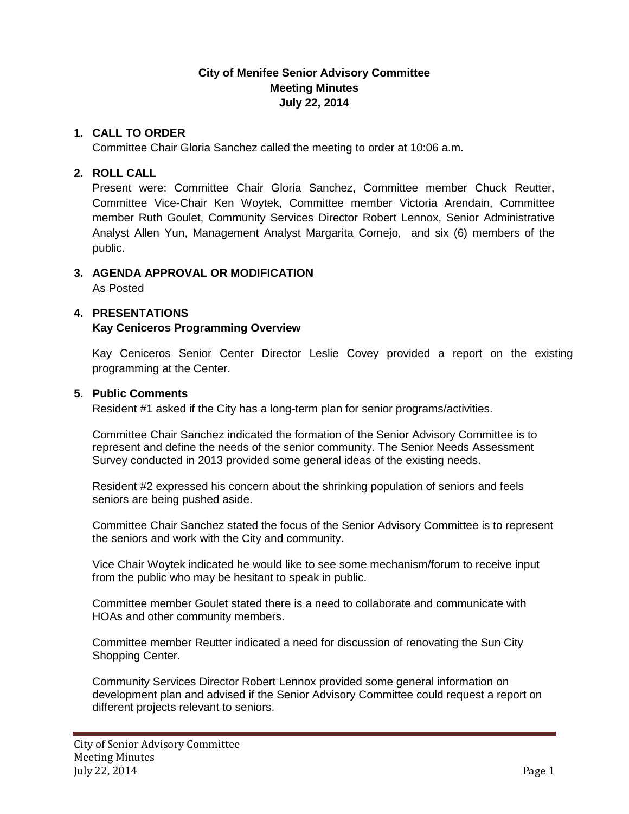# **City of Menifee Senior Advisory Committee Meeting Minutes July 22, 2014**

# **1. CALL TO ORDER**

Committee Chair Gloria Sanchez called the meeting to order at 10:06 a.m.

# **2. ROLL CALL**

Present were: Committee Chair Gloria Sanchez, Committee member Chuck Reutter, Committee Vice-Chair Ken Woytek, Committee member Victoria Arendain, Committee member Ruth Goulet, Community Services Director Robert Lennox, Senior Administrative Analyst Allen Yun, Management Analyst Margarita Cornejo, and six (6) members of the public.

# **3. AGENDA APPROVAL OR MODIFICATION**

As Posted

# **4. PRESENTATIONS**

# **Kay Ceniceros Programming Overview**

Kay Ceniceros Senior Center Director Leslie Covey provided a report on the existing programming at the Center.

### **5. Public Comments**

Resident #1 asked if the City has a long-term plan for senior programs/activities.

Committee Chair Sanchez indicated the formation of the Senior Advisory Committee is to represent and define the needs of the senior community. The Senior Needs Assessment Survey conducted in 2013 provided some general ideas of the existing needs.

Resident #2 expressed his concern about the shrinking population of seniors and feels seniors are being pushed aside.

Committee Chair Sanchez stated the focus of the Senior Advisory Committee is to represent the seniors and work with the City and community.

Vice Chair Woytek indicated he would like to see some mechanism/forum to receive input from the public who may be hesitant to speak in public.

Committee member Goulet stated there is a need to collaborate and communicate with HOAs and other community members.

Committee member Reutter indicated a need for discussion of renovating the Sun City Shopping Center.

Community Services Director Robert Lennox provided some general information on development plan and advised if the Senior Advisory Committee could request a report on different projects relevant to seniors.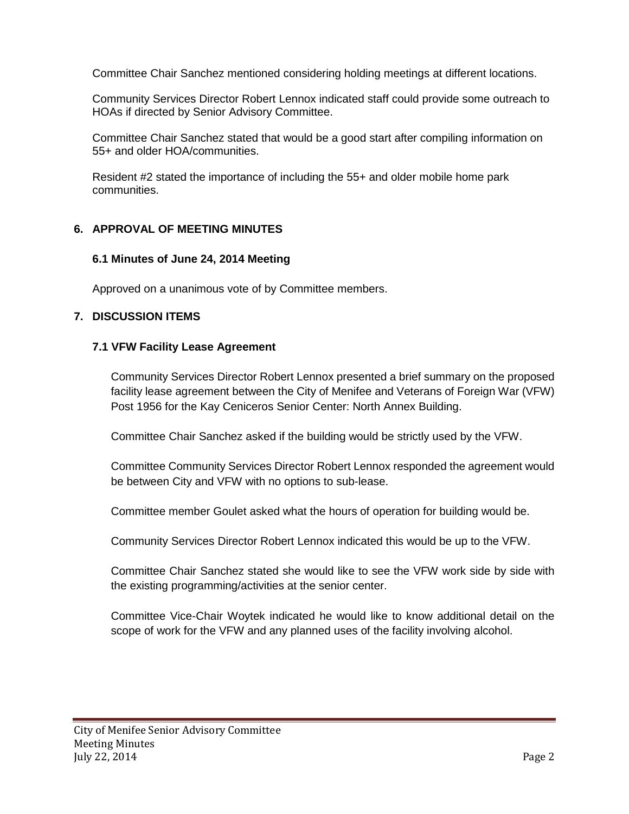Committee Chair Sanchez mentioned considering holding meetings at different locations.

Community Services Director Robert Lennox indicated staff could provide some outreach to HOAs if directed by Senior Advisory Committee.

Committee Chair Sanchez stated that would be a good start after compiling information on 55+ and older HOA/communities.

Resident #2 stated the importance of including the 55+ and older mobile home park communities.

# **6. APPROVAL OF MEETING MINUTES**

### **6.1 Minutes of June 24, 2014 Meeting**

Approved on a unanimous vote of by Committee members.

### **7. DISCUSSION ITEMS**

#### **7.1 VFW Facility Lease Agreement**

Community Services Director Robert Lennox presented a brief summary on the proposed facility lease agreement between the City of Menifee and Veterans of Foreign War (VFW) Post 1956 for the Kay Ceniceros Senior Center: North Annex Building.

Committee Chair Sanchez asked if the building would be strictly used by the VFW.

Committee Community Services Director Robert Lennox responded the agreement would be between City and VFW with no options to sub-lease.

Committee member Goulet asked what the hours of operation for building would be.

Community Services Director Robert Lennox indicated this would be up to the VFW.

Committee Chair Sanchez stated she would like to see the VFW work side by side with the existing programming/activities at the senior center.

Committee Vice-Chair Woytek indicated he would like to know additional detail on the scope of work for the VFW and any planned uses of the facility involving alcohol.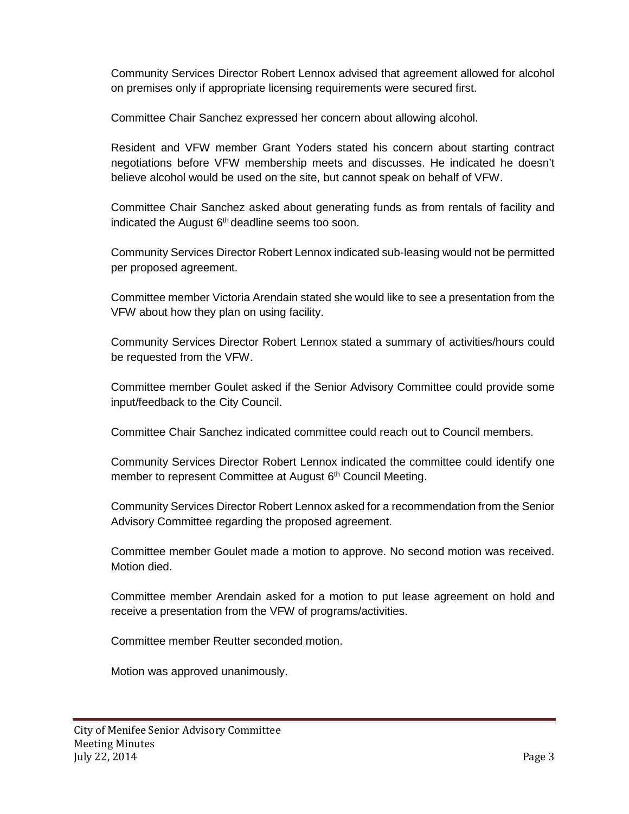Community Services Director Robert Lennox advised that agreement allowed for alcohol on premises only if appropriate licensing requirements were secured first.

Committee Chair Sanchez expressed her concern about allowing alcohol.

Resident and VFW member Grant Yoders stated his concern about starting contract negotiations before VFW membership meets and discusses. He indicated he doesn't believe alcohol would be used on the site, but cannot speak on behalf of VFW.

Committee Chair Sanchez asked about generating funds as from rentals of facility and indicated the August  $6<sup>th</sup>$  deadline seems too soon.

Community Services Director Robert Lennox indicated sub-leasing would not be permitted per proposed agreement.

Committee member Victoria Arendain stated she would like to see a presentation from the VFW about how they plan on using facility.

Community Services Director Robert Lennox stated a summary of activities/hours could be requested from the VFW.

Committee member Goulet asked if the Senior Advisory Committee could provide some input/feedback to the City Council.

Committee Chair Sanchez indicated committee could reach out to Council members.

Community Services Director Robert Lennox indicated the committee could identify one member to represent Committee at August 6<sup>th</sup> Council Meeting.

Community Services Director Robert Lennox asked for a recommendation from the Senior Advisory Committee regarding the proposed agreement.

Committee member Goulet made a motion to approve. No second motion was received. Motion died.

Committee member Arendain asked for a motion to put lease agreement on hold and receive a presentation from the VFW of programs/activities.

Committee member Reutter seconded motion.

Motion was approved unanimously.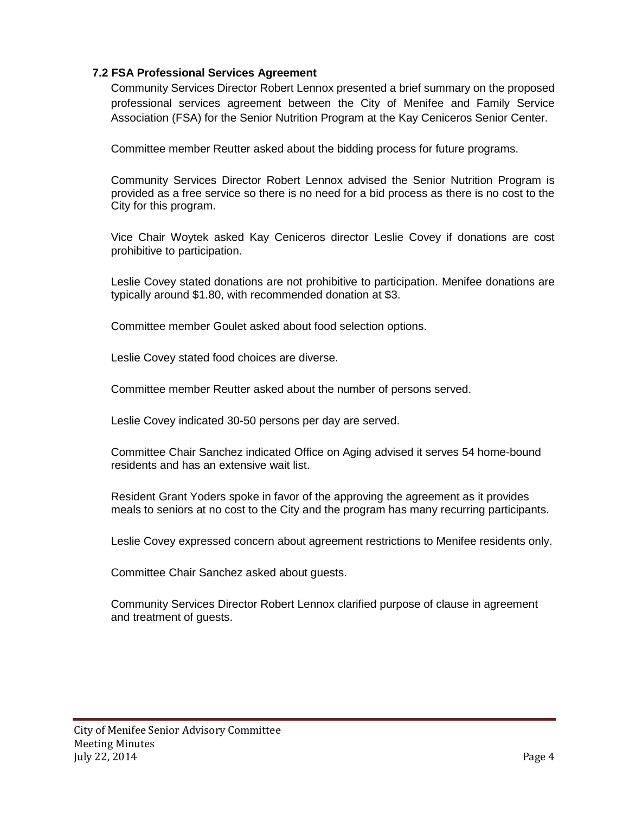# **7.2 FSA Professional Services Agreement**

Community Services Director Robert Lennox presented a brief summary on the proposed professional services agreement between the City of Menifee and Family Service Association (FSA) for the Senior Nutrition Program at the Kay Ceniceros Senior Center.

Committee member Reutter asked about the bidding process for future programs.

Community Services Director Robert Lennox advised the Senior Nutrition Program is provided as a free service so there is no need for a bid process as there is no cost to the City for this program.

Vice Chair Woytek asked Kay Ceniceros director Leslie Covey if donations are cost prohibitive to participation.

Leslie Covey stated donations are not prohibitive to participation. Menifee donations are typically around \$1.80, with recommended donation at \$3.

Committee member Goulet asked about food selection options.

Leslie Covey stated food choices are diverse.

Committee member Reutter asked about the number of persons served.

Leslie Covey indicated 30-50 persons per day are served.

Committee Chair Sanchez indicated Office on Aging advised it serves 54 home-bound residents and has an extensive wait list.

Resident Grant Yoders spoke in favor of the approving the agreement as it provides meals to seniors at no cost to the City and the program has many recurring participants.

Leslie Covey expressed concern about agreement restrictions to Menifee residents only.

Committee Chair Sanchez asked about guests.

Community Services Director Robert Lennox clarified purpose of clause in agreement and treatment of guests.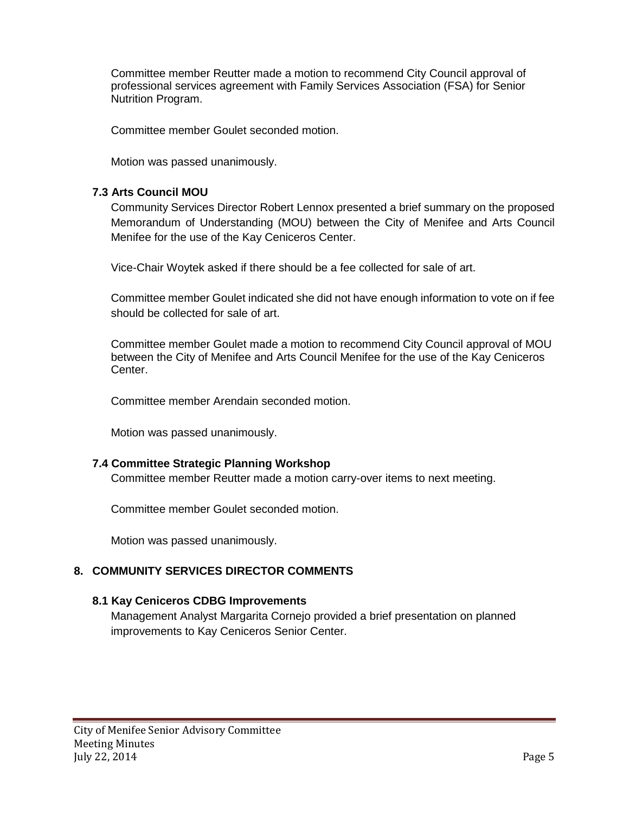Committee member Reutter made a motion to recommend City Council approval of professional services agreement with Family Services Association (FSA) for Senior Nutrition Program.

Committee member Goulet seconded motion.

Motion was passed unanimously.

### **7.3 Arts Council MOU**

Community Services Director Robert Lennox presented a brief summary on the proposed Memorandum of Understanding (MOU) between the City of Menifee and Arts Council Menifee for the use of the Kay Ceniceros Center.

Vice-Chair Woytek asked if there should be a fee collected for sale of art.

Committee member Goulet indicated she did not have enough information to vote on if fee should be collected for sale of art.

Committee member Goulet made a motion to recommend City Council approval of MOU between the City of Menifee and Arts Council Menifee for the use of the Kay Ceniceros Center.

Committee member Arendain seconded motion.

Motion was passed unanimously.

### **7.4 Committee Strategic Planning Workshop**

Committee member Reutter made a motion carry-over items to next meeting.

Committee member Goulet seconded motion.

Motion was passed unanimously.

# **8. COMMUNITY SERVICES DIRECTOR COMMENTS**

#### **8.1 Kay Ceniceros CDBG Improvements**

Management Analyst Margarita Cornejo provided a brief presentation on planned improvements to Kay Ceniceros Senior Center.